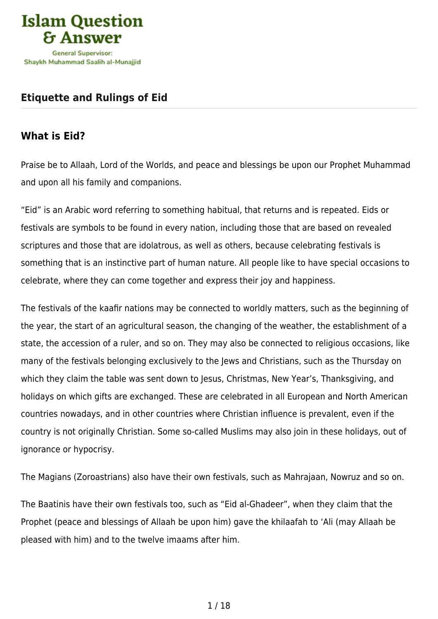

### **[Etiquette and Rulings of Eid](https://islamqa.ws/en/articles/72/etiquette-and-rulings-of-eid)**

## **What is Eid?**

Praise be to Allaah, Lord of the Worlds, and peace and blessings be upon our Prophet Muhammad and upon all his family and companions.

"Eid" is an Arabic word referring to something habitual, that returns and is repeated. Eids or festivals are symbols to be found in every nation, including those that are based on revealed scriptures and those that are idolatrous, as well as others, because celebrating festivals is something that is an instinctive part of human nature. All people like to have special occasions to celebrate, where they can come together and express their joy and happiness.

The festivals of the kaafir nations may be connected to worldly matters, such as the beginning of the year, the start of an agricultural season, the changing of the weather, the establishment of a state, the accession of a ruler, and so on. They may also be connected to religious occasions, like many of the festivals belonging exclusively to the Jews and Christians, such as the Thursday on which they claim the table was sent down to Jesus, Christmas, New Year's, Thanksgiving, and holidays on which gifts are exchanged. These are celebrated in all European and North American countries nowadays, and in other countries where Christian influence is prevalent, even if the country is not originally Christian. Some so-called Muslims may also join in these holidays, out of ignorance or hypocrisy.

The Magians (Zoroastrians) also have their own festivals, such as Mahrajaan, Nowruz and so on.

The Baatinis have their own festivals too, such as "Eid al-Ghadeer", when they claim that the Prophet (peace and blessings of Allaah be upon him) gave the khilaafah to 'Ali (may Allaah be pleased with him) and to the twelve imaams after him.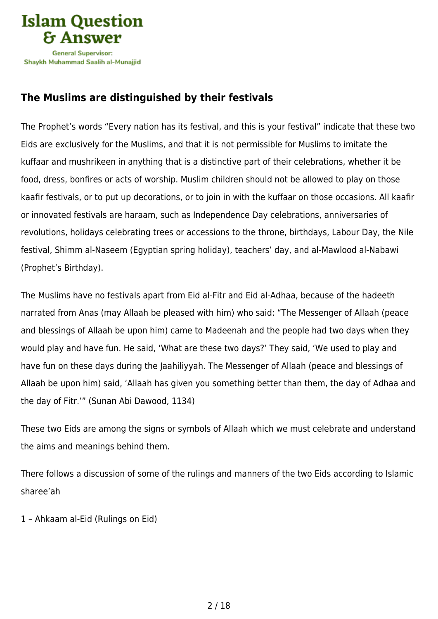

# **The Muslims are distinguished by their festivals**

The Prophet's words "Every nation has its festival, and this is your festival" indicate that these two Eids are exclusively for the Muslims, and that it is not permissible for Muslims to imitate the kuffaar and mushrikeen in anything that is a distinctive part of their celebrations, whether it be food, dress, bonfires or acts of worship. Muslim children should not be allowed to play on those kaafir festivals, or to put up decorations, or to join in with the kuffaar on those occasions. All kaafir or innovated festivals are haraam, such as Independence Day celebrations, anniversaries of revolutions, holidays celebrating trees or accessions to the throne, birthdays, Labour Day, the Nile festival, Shimm al-Naseem (Egyptian spring holiday), teachers' day, and al-Mawlood al-Nabawi (Prophet's Birthday).

The Muslims have no festivals apart from Eid al-Fitr and Eid al-Adhaa, because of the hadeeth narrated from Anas (may Allaah be pleased with him) who said: "The Messenger of Allaah (peace and blessings of Allaah be upon him) came to Madeenah and the people had two days when they would play and have fun. He said, 'What are these two days?' They said, 'We used to play and have fun on these days during the Jaahiliyyah. The Messenger of Allaah (peace and blessings of Allaah be upon him) said, 'Allaah has given you something better than them, the day of Adhaa and the day of Fitr.'" (Sunan Abi Dawood, 1134)

These two Eids are among the signs or symbols of Allaah which we must celebrate and understand the aims and meanings behind them.

There follows a discussion of some of the rulings and manners of the two Eids according to Islamic sharee'ah

1 – Ahkaam al-Eid (Rulings on Eid)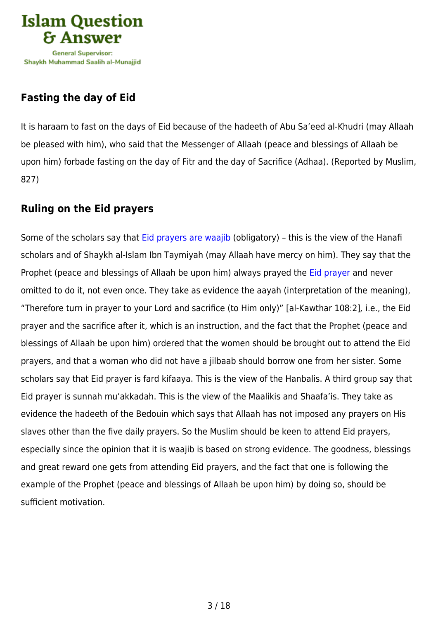

# **Fasting the day of Eid**

It is haraam to fast on the days of Eid because of the hadeeth of Abu Sa'eed al-Khudri (may Allaah be pleased with him), who said that the Messenger of Allaah (peace and blessings of Allaah be upon him) forbade fasting on the day of Fitr and the day of Sacrifice (Adhaa). (Reported by Muslim, 827)

### **Ruling on the Eid prayers**

Some of the scholars say that [Eid prayers are waajib](https://islamqa.info/en/answers/48983) (obligatory) – this is the view of the Hanafi scholars and of Shaykh al-Islam Ibn Taymiyah (may Allaah have mercy on him). They say that the Prophet (peace and blessings of Allaah be upon him) always prayed the [Eid prayer](https://islamqa.info/en/answers/299437) and never omitted to do it, not even once. They take as evidence the aayah (interpretation of the meaning), "Therefore turn in prayer to your Lord and sacrifice (to Him only)" [al-Kawthar 108:2], i.e., the Eid prayer and the sacrifice after it, which is an instruction, and the fact that the Prophet (peace and blessings of Allaah be upon him) ordered that the women should be brought out to attend the Eid prayers, and that a woman who did not have a jilbaab should borrow one from her sister. Some scholars say that Eid prayer is fard kifaaya. This is the view of the Hanbalis. A third group say that Eid prayer is sunnah mu'akkadah. This is the view of the Maalikis and Shaafa'is. They take as evidence the hadeeth of the Bedouin which says that Allaah has not imposed any prayers on His slaves other than the five daily prayers. So the Muslim should be keen to attend Eid prayers, especially since the opinion that it is waajib is based on strong evidence. The goodness, blessings and great reward one gets from attending Eid prayers, and the fact that one is following the example of the Prophet (peace and blessings of Allaah be upon him) by doing so, should be sufficient motivation.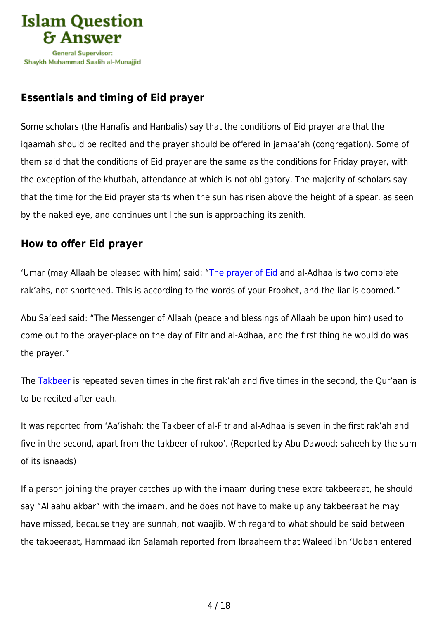

# **Essentials and timing of Eid prayer**

Some scholars (the Hanafis and Hanbalis) say that the conditions of Eid prayer are that the iqaamah should be recited and the prayer should be offered in jamaa'ah (congregation). Some of them said that the conditions of Eid prayer are the same as the conditions for Friday prayer, with the exception of the khutbah, attendance at which is not obligatory. The majority of scholars say that the time for the Eid prayer starts when the sun has risen above the height of a spear, as seen by the naked eye, and continues until the sun is approaching its zenith.

### **How to offer Eid prayer**

'Umar (may Allaah be pleased with him) said: ["The prayer of Eid](https://islamqa.info/en/answers/36491) and al-Adhaa is two complete rak'ahs, not shortened. This is according to the words of your Prophet, and the liar is doomed."

Abu Sa'eed said: "The Messenger of Allaah (peace and blessings of Allaah be upon him) used to come out to the prayer-place on the day of Fitr and al-Adhaa, and the first thing he would do was the prayer."

The [Takbeer](https://islamqa.info/en/answers/158543) is repeated seven times in the first rak'ah and five times in the second, the Qur'aan is to be recited after each.

It was reported from 'Aa'ishah: the Takbeer of al-Fitr and al-Adhaa is seven in the first rak'ah and five in the second, apart from the takbeer of rukoo'. (Reported by Abu Dawood; saheeh by the sum of its isnaads)

If a person joining the prayer catches up with the imaam during these extra takbeeraat, he should say "Allaahu akbar" with the imaam, and he does not have to make up any takbeeraat he may have missed, because they are sunnah, not waajib. With regard to what should be said between the takbeeraat, Hammaad ibn Salamah reported from Ibraaheem that Waleed ibn 'Uqbah entered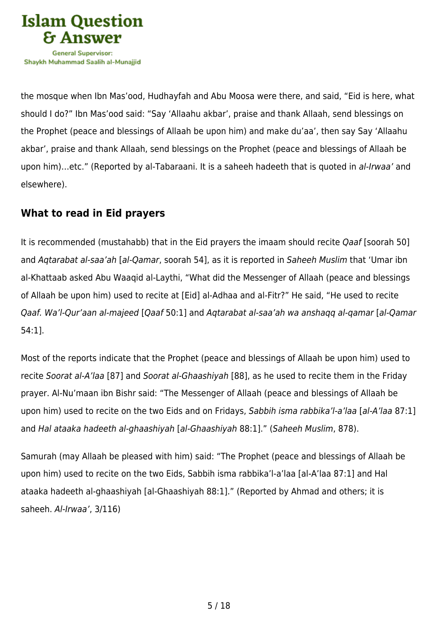

the mosque when Ibn Mas'ood, Hudhayfah and Abu Moosa were there, and said, "Eid is here, what should I do?" Ibn Mas'ood said: "Say 'Allaahu akbar', praise and thank Allaah, send blessings on the Prophet (peace and blessings of Allaah be upon him) and make du'aa', then say Say 'Allaahu akbar', praise and thank Allaah, send blessings on the Prophet (peace and blessings of Allaah be upon him)…etc." (Reported by al-Tabaraani. It is a saheeh hadeeth that is quoted in al-Irwaa' and elsewhere).

### **What to read in Eid prayers**

It is recommended (mustahabb) that in the Eid prayers the imaam should recite Qaaf [soorah 50] and Aqtarabat al-saa'ah [al-Qamar, soorah 54], as it is reported in Saheeh Muslim that 'Umar ibn al-Khattaab asked Abu Waaqid al-Laythi, "What did the Messenger of Allaah (peace and blessings of Allaah be upon him) used to recite at [Eid] al-Adhaa and al-Fitr?" He said, "He used to recite Qaaf. Wa'l-Qur'aan al-majeed [Qaaf 50:1] and Aqtarabat al-saa'ah wa anshaqq al-qamar [al-Qamar 54:1].

Most of the reports indicate that the Prophet (peace and blessings of Allaah be upon him) used to recite Soorat al-A'laa [87] and Soorat al-Ghaashiyah [88], as he used to recite them in the Friday prayer. Al-Nu'maan ibn Bishr said: "The Messenger of Allaah (peace and blessings of Allaah be upon him) used to recite on the two Eids and on Fridays, Sabbih isma rabbika'l-a'laa [al-A'laa 87:1] and Hal ataaka hadeeth al-ghaashiyah [al-Ghaashiyah 88:1]." (Saheeh Muslim, 878).

Samurah (may Allaah be pleased with him) said: "The Prophet (peace and blessings of Allaah be upon him) used to recite on the two Eids, Sabbih isma rabbika'l-a'laa [al-A'laa 87:1] and Hal ataaka hadeeth al-ghaashiyah [al-Ghaashiyah 88:1]." (Reported by Ahmad and others; it is saheeh. Al-Irwaa', 3/116)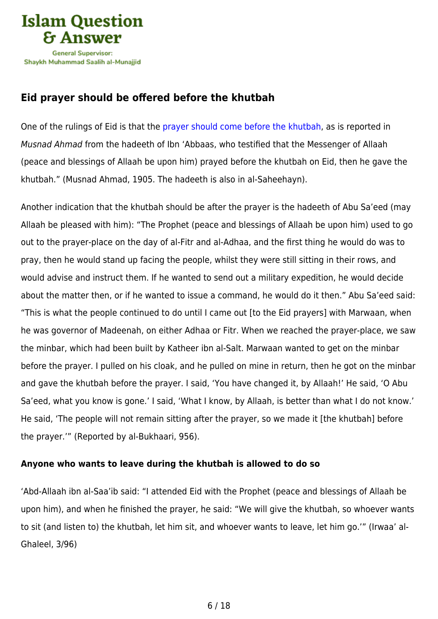

## **Eid prayer should be offered before the khutbah**

One of the rulings of Eid is that the [prayer should come before the khutbah](https://islamqa.info/en/answers/210286), as is reported in Musnad Ahmad from the hadeeth of Ibn 'Abbaas, who testified that the Messenger of Allaah (peace and blessings of Allaah be upon him) prayed before the khutbah on Eid, then he gave the khutbah." (Musnad Ahmad, 1905. The hadeeth is also in al-Saheehayn).

Another indication that the khutbah should be after the prayer is the hadeeth of Abu Sa'eed (may Allaah be pleased with him): "The Prophet (peace and blessings of Allaah be upon him) used to go out to the prayer-place on the day of al-Fitr and al-Adhaa, and the first thing he would do was to pray, then he would stand up facing the people, whilst they were still sitting in their rows, and would advise and instruct them. If he wanted to send out a military expedition, he would decide about the matter then, or if he wanted to issue a command, he would do it then." Abu Sa'eed said: "This is what the people continued to do until I came out [to the Eid prayers] with Marwaan, when he was governor of Madeenah, on either Adhaa or Fitr. When we reached the prayer-place, we saw the minbar, which had been built by Katheer ibn al-Salt. Marwaan wanted to get on the minbar before the prayer. I pulled on his cloak, and he pulled on mine in return, then he got on the minbar and gave the khutbah before the prayer. I said, 'You have changed it, by Allaah!' He said, 'O Abu Sa'eed, what you know is gone.' I said, 'What I know, by Allaah, is better than what I do not know.' He said, 'The people will not remain sitting after the prayer, so we made it [the khutbah] before the prayer.'" (Reported by al-Bukhaari, 956).

#### **Anyone who wants to leave during the khutbah is allowed to do so**

'Abd-Allaah ibn al-Saa'ib said: "I attended Eid with the Prophet (peace and blessings of Allaah be upon him), and when he finished the prayer, he said: "We will give the khutbah, so whoever wants to sit (and listen to) the khutbah, let him sit, and whoever wants to leave, let him go.'" (Irwaa' al-Ghaleel, 3/96)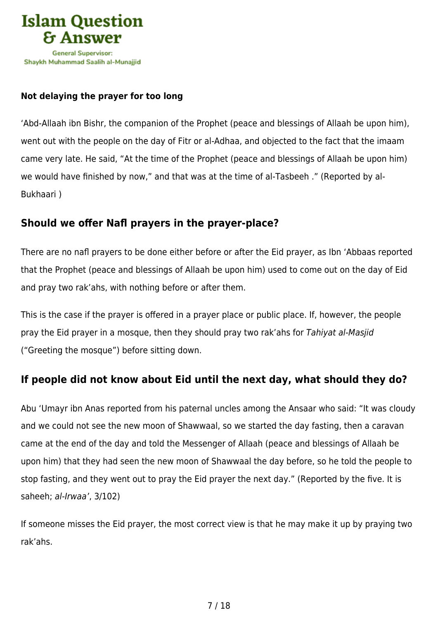

#### **Not delaying the prayer for too long**

'Abd-Allaah ibn Bishr, the companion of the Prophet (peace and blessings of Allaah be upon him), went out with the people on the day of Fitr or al-Adhaa, and objected to the fact that the imaam came very late. He said, "At the time of the Prophet (peace and blessings of Allaah be upon him) we would have finished by now," and that was at the time of al-Tasbeeh ." (Reported by al-Bukhaari )

### **Should we offer Nafl prayers in the prayer-place?**

There are no nafl prayers to be done either before or after the Eid prayer, as Ibn 'Abbaas reported that the Prophet (peace and blessings of Allaah be upon him) used to come out on the day of Eid and pray two rak'ahs, with nothing before or after them.

This is the case if the prayer is offered in a prayer place or public place. If, however, the people pray the Eid prayer in a mosque, then they should pray two rak'ahs for Tahiyat al-Masjid ("Greeting the mosque") before sitting down.

### **If people did not know about Eid until the next day, what should they do?**

Abu 'Umayr ibn Anas reported from his paternal uncles among the Ansaar who said: "It was cloudy and we could not see the new moon of Shawwaal, so we started the day fasting, then a caravan came at the end of the day and told the Messenger of Allaah (peace and blessings of Allaah be upon him) that they had seen the new moon of Shawwaal the day before, so he told the people to stop fasting, and they went out to pray the Eid prayer the next day." (Reported by the five. It is saheeh; al-Irwaa', 3/102)

If someone misses the Eid prayer, the most correct view is that he may make it up by praying two rak'ahs.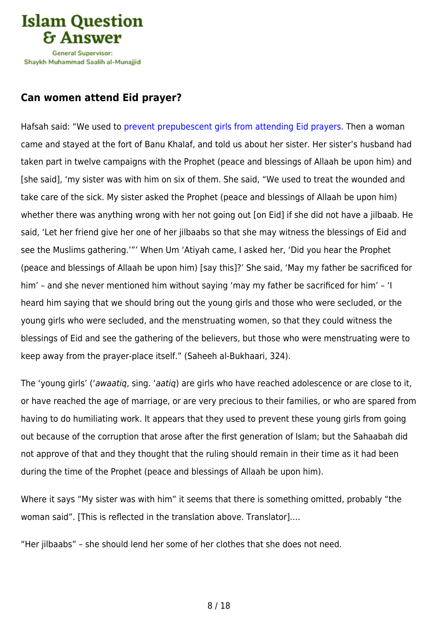

### **Can women attend Eid prayer?**

Hafsah said: "We used to [prevent prepubescent girls from attending Eid prayers.](https://islamqa.info/en/answers/26983) Then a woman came and stayed at the fort of Banu Khalaf, and told us about her sister. Her sister's husband had taken part in twelve campaigns with the Prophet (peace and blessings of Allaah be upon him) and [she said], 'my sister was with him on six of them. She said, "We used to treat the wounded and take care of the sick. My sister asked the Prophet (peace and blessings of Allaah be upon him) whether there was anything wrong with her not going out [on Eid] if she did not have a jilbaab. He said, 'Let her friend give her one of her jilbaabs so that she may witness the blessings of Eid and see the Muslims gathering.'"' When Um 'Atiyah came, I asked her, 'Did you hear the Prophet (peace and blessings of Allaah be upon him) [say this]?' She said, 'May my father be sacrificed for him' – and she never mentioned him without saying 'may my father be sacrificed for him' – 'I heard him saying that we should bring out the young girls and those who were secluded, or the young girls who were secluded, and the menstruating women, so that they could witness the blessings of Eid and see the gathering of the believers, but those who were menstruating were to keep away from the prayer-place itself." (Saheeh al-Bukhaari, 324).

The 'young girls' ('awaatig, sing. 'aatig) are girls who have reached adolescence or are close to it, or have reached the age of marriage, or are very precious to their families, or who are spared from having to do humiliating work. It appears that they used to prevent these young girls from going out because of the corruption that arose after the first generation of Islam; but the Sahaabah did not approve of that and they thought that the ruling should remain in their time as it had been during the time of the Prophet (peace and blessings of Allaah be upon him).

Where it says "My sister was with him" it seems that there is something omitted, probably "the woman said". [This is reflected in the translation above. Translator].…

"Her jilbaabs" – she should lend her some of her clothes that she does not need.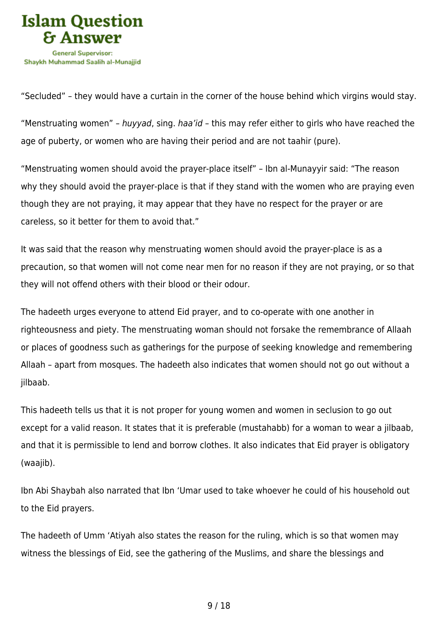

"Secluded" – they would have a curtain in the corner of the house behind which virgins would stay.

"Menstruating women" – huyyad, sing. haa'id – this may refer either to girls who have reached the age of puberty, or women who are having their period and are not taahir (pure).

"Menstruating women should avoid the prayer-place itself" – Ibn al-Munayyir said: "The reason why they should avoid the prayer-place is that if they stand with the women who are praying even though they are not praying, it may appear that they have no respect for the prayer or are careless, so it better for them to avoid that."

It was said that the reason why menstruating women should avoid the prayer-place is as a precaution, so that women will not come near men for no reason if they are not praying, or so that they will not offend others with their blood or their odour.

The hadeeth urges everyone to attend Eid prayer, and to co-operate with one another in righteousness and piety. The menstruating woman should not forsake the remembrance of Allaah or places of goodness such as gatherings for the purpose of seeking knowledge and remembering Allaah – apart from mosques. The hadeeth also indicates that women should not go out without a jilbaab.

This hadeeth tells us that it is not proper for young women and women in seclusion to go out except for a valid reason. It states that it is preferable (mustahabb) for a woman to wear a jilbaab, and that it is permissible to lend and borrow clothes. It also indicates that Eid prayer is obligatory (waajib).

Ibn Abi Shaybah also narrated that Ibn 'Umar used to take whoever he could of his household out to the Eid prayers.

The hadeeth of Umm 'Atiyah also states the reason for the ruling, which is so that women may witness the blessings of Eid, see the gathering of the Muslims, and share the blessings and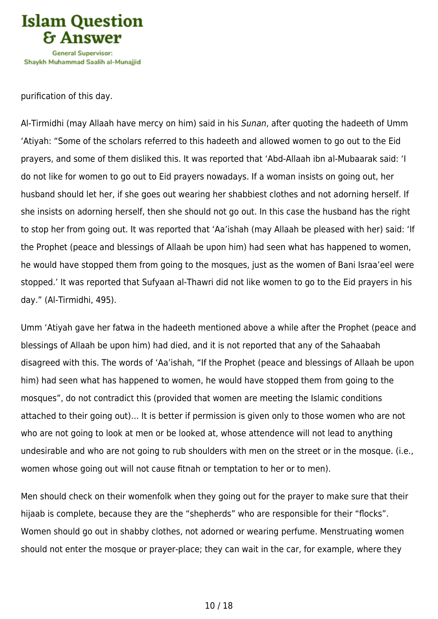

purification of this day.

Al-Tirmidhi (may Allaah have mercy on him) said in his Sunan, after quoting the hadeeth of Umm 'Atiyah: "Some of the scholars referred to this hadeeth and allowed women to go out to the Eid prayers, and some of them disliked this. It was reported that 'Abd-Allaah ibn al-Mubaarak said: 'I do not like for women to go out to Eid prayers nowadays. If a woman insists on going out, her husband should let her, if she goes out wearing her shabbiest clothes and not adorning herself. If she insists on adorning herself, then she should not go out. In this case the husband has the right to stop her from going out. It was reported that 'Aa'ishah (may Allaah be pleased with her) said: 'If the Prophet (peace and blessings of Allaah be upon him) had seen what has happened to women, he would have stopped them from going to the mosques, just as the women of Bani Israa'eel were stopped.' It was reported that Sufyaan al-Thawri did not like women to go to the Eid prayers in his day." (Al-Tirmidhi, 495).

Umm 'Atiyah gave her fatwa in the hadeeth mentioned above a while after the Prophet (peace and blessings of Allaah be upon him) had died, and it is not reported that any of the Sahaabah disagreed with this. The words of 'Aa'ishah, "If the Prophet (peace and blessings of Allaah be upon him) had seen what has happened to women, he would have stopped them from going to the mosques", do not contradict this (provided that women are meeting the Islamic conditions attached to their going out)… It is better if permission is given only to those women who are not who are not going to look at men or be looked at, whose attendence will not lead to anything undesirable and who are not going to rub shoulders with men on the street or in the mosque. (i.e., women whose going out will not cause fitnah or temptation to her or to men).

Men should check on their womenfolk when they going out for the prayer to make sure that their hijaab is complete, because they are the "shepherds" who are responsible for their "flocks". Women should go out in shabby clothes, not adorned or wearing perfume. Menstruating women should not enter the mosque or prayer-place; they can wait in the car, for example, where they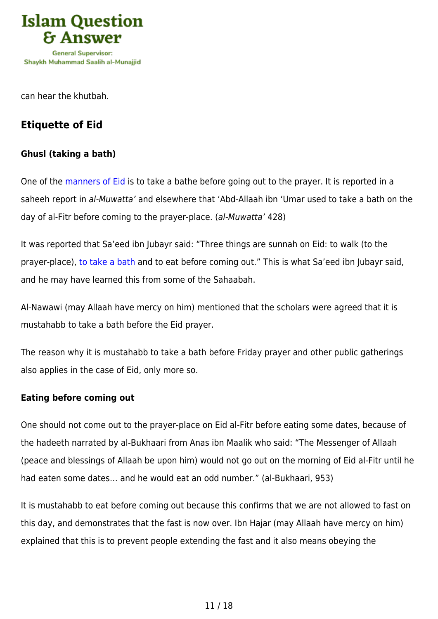

can hear the khutbah.

## **Etiquette of Eid**

#### **Ghusl (taking a bath)**

One of the [manners of Eid](https://islamqa.info/en/answers/36442) is to take a bathe before going out to the prayer. It is reported in a saheeh report in al-Muwatta' and elsewhere that 'Abd-Allaah ibn 'Umar used to take a bath on the day of al-Fitr before coming to the prayer-place. (al-Muwatta' 428)

It was reported that Sa'eed ibn Jubayr said: "Three things are sunnah on Eid: to walk (to the prayer-place)[, to take a bath](https://islamqa.info/en/answers/48988) and to eat before coming out." This is what Sa'eed ibn Jubayr said, and he may have learned this from some of the Sahaabah.

Al-Nawawi (may Allaah have mercy on him) mentioned that the scholars were agreed that it is mustahabb to take a bath before the Eid prayer.

The reason why it is mustahabb to take a bath before Friday prayer and other public gatherings also applies in the case of Eid, only more so.

#### **Eating before coming out**

One should not come out to the prayer-place on Eid al-Fitr before eating some dates, because of the hadeeth narrated by al-Bukhaari from Anas ibn Maalik who said: "The Messenger of Allaah (peace and blessings of Allaah be upon him) would not go out on the morning of Eid al-Fitr until he had eaten some dates… and he would eat an odd number." (al-Bukhaari, 953)

It is mustahabb to eat before coming out because this confirms that we are not allowed to fast on this day, and demonstrates that the fast is now over. Ibn Hajar (may Allaah have mercy on him) explained that this is to prevent people extending the fast and it also means obeying the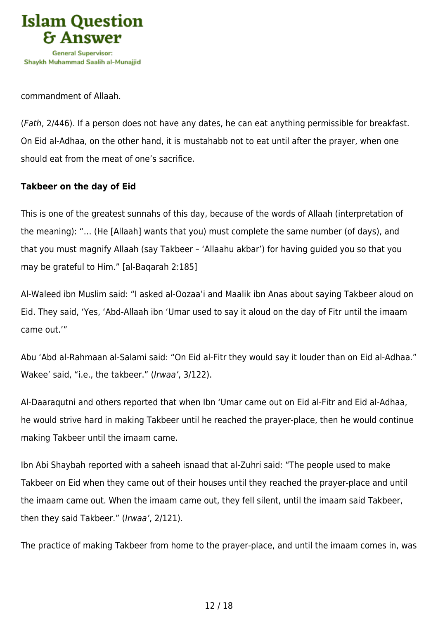

commandment of Allaah.

(Fath, 2/446). If a person does not have any dates, he can eat anything permissible for breakfast. On Eid al-Adhaa, on the other hand, it is mustahabb not to eat until after the prayer, when one should eat from the meat of one's sacrifice.

#### **Takbeer on the day of Eid**

This is one of the greatest sunnahs of this day, because of the words of Allaah (interpretation of the meaning): "… (He [Allaah] wants that you) must complete the same number (of days), and that you must magnify Allaah (say Takbeer – 'Allaahu akbar') for having guided you so that you may be grateful to Him." [al-Baqarah 2:185]

Al-Waleed ibn Muslim said: "I asked al-Oozaa'i and Maalik ibn Anas about saying Takbeer aloud on Eid. They said, 'Yes, 'Abd-Allaah ibn 'Umar used to say it aloud on the day of Fitr until the imaam came out.'"

Abu 'Abd al-Rahmaan al-Salami said: "On Eid al-Fitr they would say it louder than on Eid al-Adhaa." Wakee' said, "i.e., the takbeer." (Irwaa', 3/122).

Al-Daaraqutni and others reported that when Ibn 'Umar came out on Eid al-Fitr and Eid al-Adhaa, he would strive hard in making Takbeer until he reached the prayer-place, then he would continue making Takbeer until the imaam came.

Ibn Abi Shaybah reported with a saheeh isnaad that al-Zuhri said: "The people used to make Takbeer on Eid when they came out of their houses until they reached the prayer-place and until the imaam came out. When the imaam came out, they fell silent, until the imaam said Takbeer, then they said Takbeer." (Irwaa', 2/121).

The practice of making Takbeer from home to the prayer-place, and until the imaam comes in, was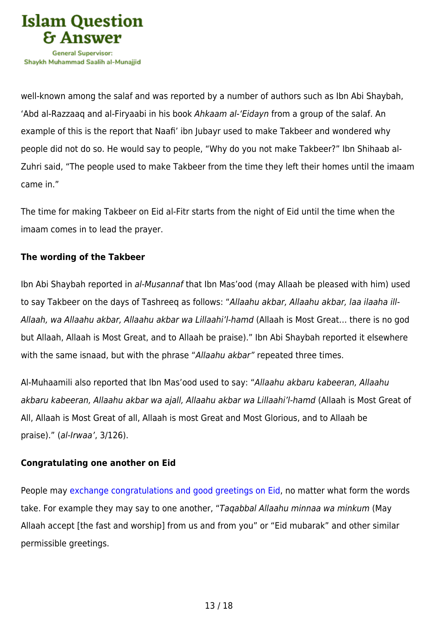

well-known among the salaf and was reported by a number of authors such as Ibn Abi Shaybah, 'Abd al-Razzaaq and al-Firyaabi in his book Ahkaam al-'Eidayn from a group of the salaf. An example of this is the report that Naafi' ibn Jubayr used to make Takbeer and wondered why people did not do so. He would say to people, "Why do you not make Takbeer?" Ibn Shihaab al-Zuhri said, "The people used to make Takbeer from the time they left their homes until the imaam came in."

The time for making Takbeer on Eid al-Fitr starts from the night of Eid until the time when the imaam comes in to lead the prayer.

#### **The wording of the Takbeer**

Ibn Abi Shaybah reported in al-Musannaf that Ibn Mas'ood (may Allaah be pleased with him) used to say Takbeer on the days of Tashreeq as follows: "Allaahu akbar, Allaahu akbar, laa ilaaha ill-Allaah, wa Allaahu akbar, Allaahu akbar wa Lillaahi'l-hamd (Allaah is Most Great… there is no god but Allaah, Allaah is Most Great, and to Allaah be praise)." Ibn Abi Shaybah reported it elsewhere with the same isnaad, but with the phrase "Allaahu akbar" repeated three times.

Al-Muhaamili also reported that Ibn Mas'ood used to say: "Allaahu akbaru kabeeran, Allaahu akbaru kabeeran, Allaahu akbar wa ajall, Allaahu akbar wa Lillaahi'l-hamd (Allaah is Most Great of All, Allaah is Most Great of all, Allaah is most Great and Most Glorious, and to Allaah be praise)." (al-Irwaa', 3/126).

#### **Congratulating one another on Eid**

People may [exchange congratulations and good greetings on Eid](https://islamqa.info/en/answers/192665), no matter what form the words take. For example they may say to one another, "Taqabbal Allaahu minnaa wa minkum (May Allaah accept [the fast and worship] from us and from you" or "Eid mubarak" and other similar permissible greetings.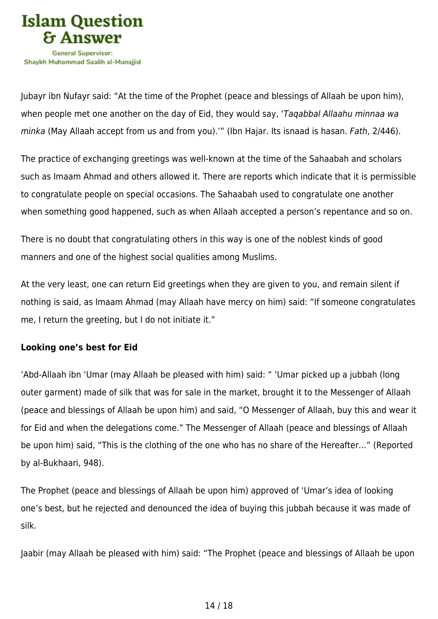

Jubayr ibn Nufayr said: "At the time of the Prophet (peace and blessings of Allaah be upon him), when people met one another on the day of Eid, they would say, 'Taqabbal Allaahu minnaa wa minka (May Allaah accept from us and from you).'" (Ibn Hajar. Its isnaad is hasan. Fath, 2/446).

The practice of exchanging greetings was well-known at the time of the Sahaabah and scholars such as Imaam Ahmad and others allowed it. There are reports which indicate that it is permissible to congratulate people on special occasions. The Sahaabah used to congratulate one another when something good happened, such as when Allaah accepted a person's repentance and so on.

There is no doubt that congratulating others in this way is one of the noblest kinds of good manners and one of the highest social qualities among Muslims.

At the very least, one can return Eid greetings when they are given to you, and remain silent if nothing is said, as Imaam Ahmad (may Allaah have mercy on him) said: "If someone congratulates me, I return the greeting, but I do not initiate it."

#### **Looking one's best for Eid**

'Abd-Allaah ibn 'Umar (may Allaah be pleased with him) said: " 'Umar picked up a jubbah (long outer garment) made of silk that was for sale in the market, brought it to the Messenger of Allaah (peace and blessings of Allaah be upon him) and said, "O Messenger of Allaah, buy this and wear it for Eid and when the delegations come." The Messenger of Allaah (peace and blessings of Allaah be upon him) said, "This is the clothing of the one who has no share of the Hereafter…" (Reported by al-Bukhaari, 948).

The Prophet (peace and blessings of Allaah be upon him) approved of 'Umar's idea of looking one's best, but he rejected and denounced the idea of buying this jubbah because it was made of silk.

Jaabir (may Allaah be pleased with him) said: "The Prophet (peace and blessings of Allaah be upon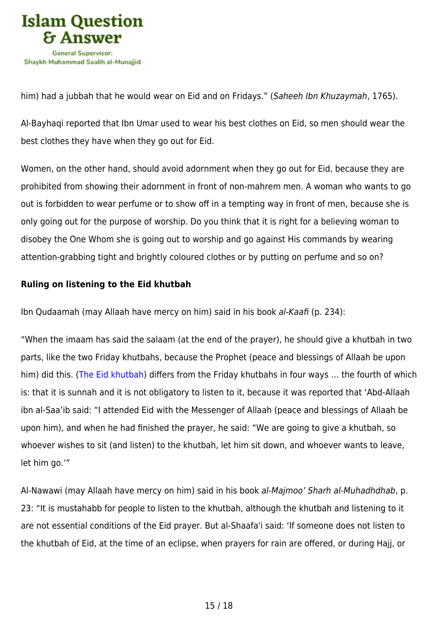

him) had a jubbah that he would wear on Eid and on Fridays." (Saheeh Ibn Khuzaymah, 1765).

Al-Bayhaqi reported that Ibn Umar used to wear his best clothes on Eid, so men should wear the best clothes they have when they go out for Eid.

Women, on the other hand, should avoid adornment when they go out for Eid, because they are prohibited from showing their adornment in front of non-mahrem men. A woman who wants to go out is forbidden to wear perfume or to show off in a tempting way in front of men, because she is only going out for the purpose of worship. Do you think that it is right for a believing woman to disobey the One Whom she is going out to worship and go against His commands by wearing attention-grabbing tight and brightly coloured clothes or by putting on perfume and so on?

#### **Ruling on listening to the Eid khutbah**

Ibn Qudaamah (may Allaah have mercy on him) said in his book al-Kaafi (p. 234):

"When the imaam has said the salaam (at the end of the prayer), he should give a khutbah in two parts, like the two Friday khutbahs, because the Prophet (peace and blessings of Allaah be upon him) did this. [\(The Eid khutbah](https://islamqa.info/en/answers/67942)) differs from the Friday khutbahs in four ways … the fourth of which is: that it is sunnah and it is not obligatory to listen to it, because it was reported that 'Abd-Allaah ibn al-Saa'ib said: "I attended Eid with the Messenger of Allaah (peace and blessings of Allaah be upon him), and when he had finished the prayer, he said: "We are going to give a khutbah, so whoever wishes to sit (and listen) to the khutbah, let him sit down, and whoever wants to leave, let him go.'"

Al-Nawawi (may Allaah have mercy on him) said in his book al-Majmoo' Sharh al-Muhadhdhab, p. 23: "It is mustahabb for people to listen to the khutbah, although the khutbah and listening to it are not essential conditions of the Eid prayer. But al-Shaafa'i said: 'If someone does not listen to the khutbah of Eid, at the time of an eclipse, when prayers for rain are offered, or during Hajj, or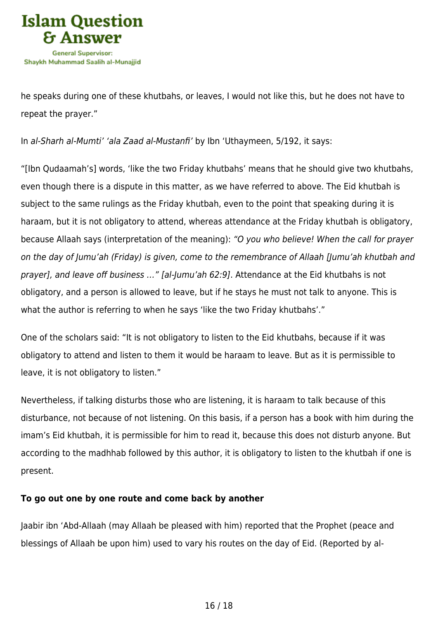

he speaks during one of these khutbahs, or leaves, I would not like this, but he does not have to repeat the prayer."

In al-Sharh al-Mumti' 'ala Zaad al-Mustanfi' by Ibn 'Uthaymeen, 5/192, it says:

"[Ibn Qudaamah's] words, 'like the two Friday khutbahs' means that he should give two khutbahs, even though there is a dispute in this matter, as we have referred to above. The Eid khutbah is subject to the same rulings as the Friday khutbah, even to the point that speaking during it is haraam, but it is not obligatory to attend, whereas attendance at the Friday khutbah is obligatory, because Allaah says (interpretation of the meaning): "O you who believe! When the call for prayer on the day of Jumu'ah (Friday) is given, come to the remembrance of Allaah [Jumu'ah khutbah and prayer], and leave off business …" [al-Jumu'ah 62:9]. Attendance at the Eid khutbahs is not obligatory, and a person is allowed to leave, but if he stays he must not talk to anyone. This is what the author is referring to when he says 'like the two Friday khutbahs'."

One of the scholars said: "It is not obligatory to listen to the Eid khutbahs, because if it was obligatory to attend and listen to them it would be haraam to leave. But as it is permissible to leave, it is not obligatory to listen."

Nevertheless, if talking disturbs those who are listening, it is haraam to talk because of this disturbance, not because of not listening. On this basis, if a person has a book with him during the imam's Eid khutbah, it is permissible for him to read it, because this does not disturb anyone. But according to the madhhab followed by this author, it is obligatory to listen to the khutbah if one is present.

#### **To go out one by one route and come back by another**

Jaabir ibn 'Abd-Allaah (may Allaah be pleased with him) reported that the Prophet (peace and blessings of Allaah be upon him) used to vary his routes on the day of Eid. (Reported by al-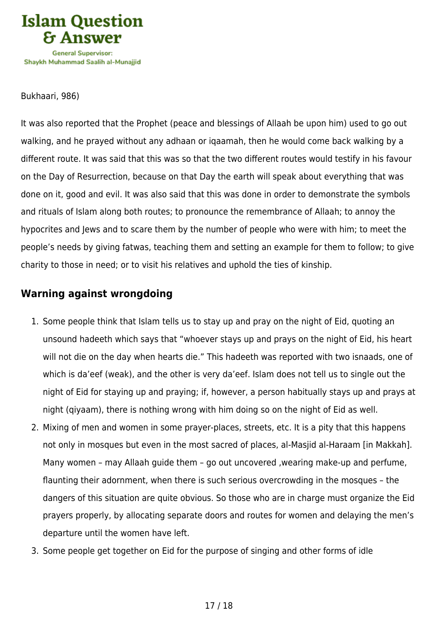

Bukhaari, 986)

It was also reported that the Prophet (peace and blessings of Allaah be upon him) used to go out walking, and he prayed without any adhaan or iqaamah, then he would come back walking by a different route. It was said that this was so that the two different routes would testify in his favour on the Day of Resurrection, because on that Day the earth will speak about everything that was done on it, good and evil. It was also said that this was done in order to demonstrate the symbols and rituals of Islam along both routes; to pronounce the remembrance of Allaah; to annoy the hypocrites and Jews and to scare them by the number of people who were with him; to meet the people's needs by giving fatwas, teaching them and setting an example for them to follow; to give charity to those in need; or to visit his relatives and uphold the ties of kinship.

### **Warning against wrongdoing**

- 1. Some people think that Islam tells us to stay up and pray on the night of Eid, quoting an unsound hadeeth which says that "whoever stays up and prays on the night of Eid, his heart will not die on the day when hearts die." This hadeeth was reported with two isnaads, one of which is da'eef (weak), and the other is very da'eef. Islam does not tell us to single out the night of Eid for staying up and praying; if, however, a person habitually stays up and prays at night (qiyaam), there is nothing wrong with him doing so on the night of Eid as well.
- 2. Mixing of men and women in some prayer-places, streets, etc. It is a pity that this happens not only in mosques but even in the most sacred of places, al-Masjid al-Haraam [in Makkah]. Many women – may Allaah guide them – go out uncovered ,wearing make-up and perfume, flaunting their adornment, when there is such serious overcrowding in the mosques – the dangers of this situation are quite obvious. So those who are in charge must organize the Eid prayers properly, by allocating separate doors and routes for women and delaying the men's departure until the women have left.
- 3. Some people get together on Eid for the purpose of singing and other forms of idle